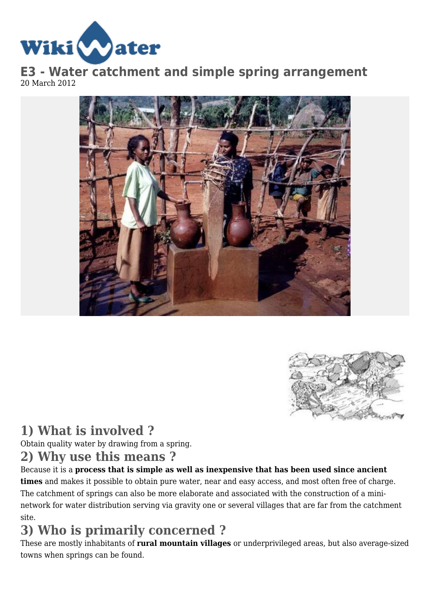

**E3 - Water catchment and simple spring arrangement** 20 March 2012





## **1) What is involved ?**

Obtain quality water by drawing from a spring.

### **2) Why use this means ?**

Because it is a **process that is simple as well as inexpensive that has been used since ancient times** and makes it possible to obtain pure water, near and easy access, and most often free of charge. The catchment of springs can also be more elaborate and associated with the construction of a mininetwork for water distribution serving via gravity one or several villages that are far from the catchment site.

# **3) Who is primarily concerned ?**

These are mostly inhabitants of **rural mountain villages** or underprivileged areas, but also average-sized towns when springs can be found.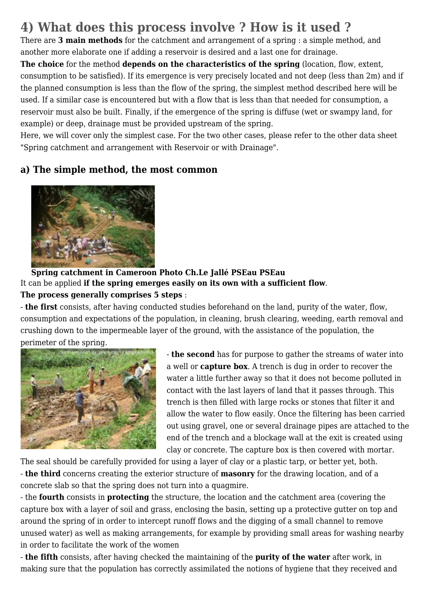# **4) What does this process involve ? How is it used ?**

There are **3 main methods** for the catchment and arrangement of a spring : a simple method, and another more elaborate one if adding a reservoir is desired and a last one for drainage.

**The choice** for the method **depends on the characteristics of the spring** (location, flow, extent, consumption to be satisfied). If its emergence is very precisely located and not deep (less than 2m) and if the planned consumption is less than the flow of the spring, the simplest method described here will be used. If a similar case is encountered but with a flow that is less than that needed for consumption, a reservoir must also be built. Finally, if the emergence of the spring is diffuse (wet or swampy land, for example) or deep, drainage must be provided upstream of the spring.

Here, we will cover only the simplest case. For the two other cases, please refer to the other data sheet "Spring catchment and arrangement with Reservoir or with Drainage".

#### **a) The simple method, the most common**



#### **Spring catchment in Cameroon Photo Ch.Le Jallé PSEau PSEau** It can be applied **if the spring emerges easily on its own with a sufficient flow**. **The process generally comprises 5 steps** :

- **the first** consists, after having conducted studies beforehand on the land, purity of the water, flow, consumption and expectations of the population, in cleaning, brush clearing, weeding, earth removal and crushing down to the impermeable layer of the ground, with the assistance of the population, the perimeter of the spring.



- **the second** has for purpose to gather the streams of water into a well or **capture box**. A trench is dug in order to recover the water a little further away so that it does not become polluted in contact with the last layers of land that it passes through. This trench is then filled with large rocks or stones that filter it and allow the water to flow easily. Once the filtering has been carried out using gravel, one or several drainage pipes are attached to the end of the trench and a blockage wall at the exit is created using clay or concrete. The capture box is then covered with mortar.

The seal should be carefully provided for using a layer of clay or a plastic tarp, or better yet, both.

- **the third** concerns creating the exterior structure of **masonry** for the drawing location, and of a concrete slab so that the spring does not turn into a quagmire.

- the **fourth** consists in **protecting** the structure, the location and the catchment area (covering the capture box with a layer of soil and grass, enclosing the basin, setting up a protective gutter on top and around the spring of in order to intercept runoff flows and the digging of a small channel to remove unused water) as well as making arrangements, for example by providing small areas for washing nearby in order to facilitate the work of the women

- **the fifth** consists, after having checked the maintaining of the **purity of the water** after work, in making sure that the population has correctly assimilated the notions of hygiene that they received and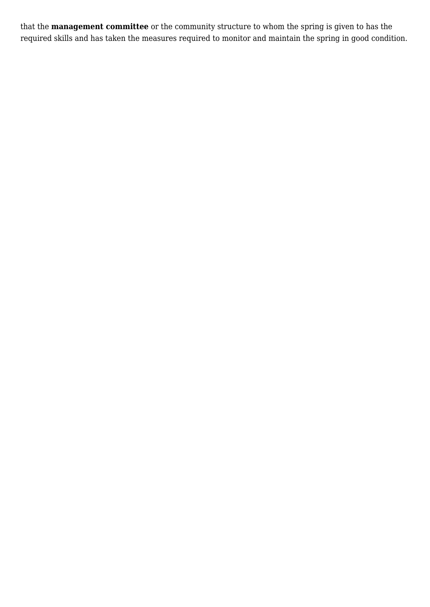that the **management committee** or the community structure to whom the spring is given to has the required skills and has taken the measures required to monitor and maintain the spring in good condition.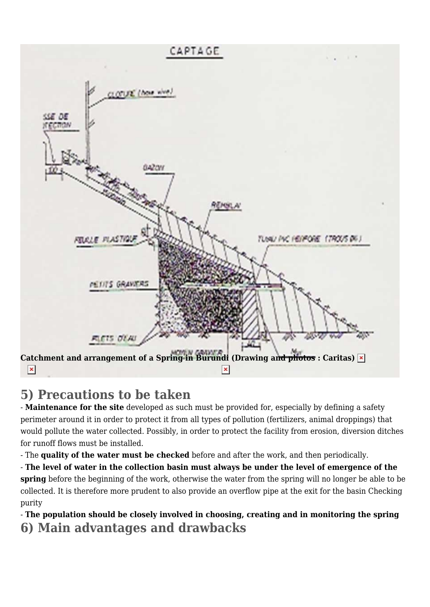

### **5) Precautions to be taken**

- **Maintenance for the site** developed as such must be provided for, especially by defining a safety perimeter around it in order to protect it from all types of pollution (fertilizers, animal droppings) that would pollute the water collected. Possibly, in order to protect the facility from erosion, diversion ditches for runoff flows must be installed.

- The **quality of the water must be checked** before and after the work, and then periodically.

- **The level of water in the collection basin must always be under the level of emergence of the spring** before the beginning of the work, otherwise the water from the spring will no longer be able to be collected. It is therefore more prudent to also provide an overflow pipe at the exit for the basin Checking purity

- **The population should be closely involved in choosing, creating and in monitoring the spring 6) Main advantages and drawbacks**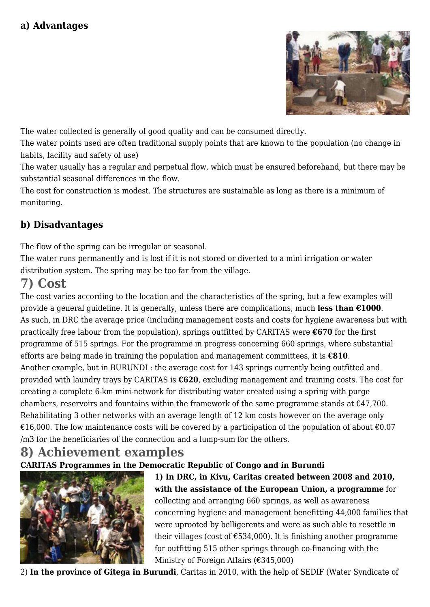

The water collected is generally of good quality and can be consumed directly.

The water points used are often traditional supply points that are known to the population (no change in habits, facility and safety of use)

The water usually has a regular and perpetual flow, which must be ensured beforehand, but there may be substantial seasonal differences in the flow.

The cost for construction is modest. The structures are sustainable as long as there is a minimum of monitoring.

#### **b) Disadvantages**

The flow of the spring can be irregular or seasonal.

The water runs permanently and is lost if it is not stored or diverted to a mini irrigation or water distribution system. The spring may be too far from the village.

## **7) Cost**

The cost varies according to the location and the characteristics of the spring, but a few examples will provide a general guideline. It is generally, unless there are complications, much **less than €1000**. As such, in DRC the average price (including management costs and costs for hygiene awareness but with practically free labour from the population), springs outfitted by CARITAS were **€670** for the first programme of 515 springs. For the programme in progress concerning 660 springs, where substantial efforts are being made in training the population and management committees, it is **€810**. Another example, but in BURUNDI : the average cost for 143 springs currently being outfitted and provided with laundry trays by CARITAS is **€620**, excluding management and training costs. The cost for creating a complete 6-km mini-network for distributing water created using a spring with purge chambers, reservoirs and fountains within the framework of the same programme stands at  $\epsilon$ 47,700. Rehabilitating 3 other networks with an average length of 12 km costs however on the average only €16,000. The low maintenance costs will be covered by a participation of the population of about  $€0.07$ /m3 for the beneficiaries of the connection and a lump-sum for the others.

#### **8) Achievement examples CARITAS Programmes in the Democratic Republic of Congo and in Burundi**



**1) In DRC, in Kivu, Caritas created between 2008 and 2010, with the assistance of the European Union, a programme** for collecting and arranging 660 springs, as well as awareness concerning hygiene and management benefitting 44,000 families that were uprooted by belligerents and were as such able to resettle in their villages (cost of  $\text{\textsterling}534,000$ ). It is finishing another programme for outfitting 515 other springs through co-financing with the Ministry of Foreign Affairs (€345,000)

2) **In the province of Gitega in Burundi**, Caritas in 2010, with the help of SEDIF (Water Syndicate of